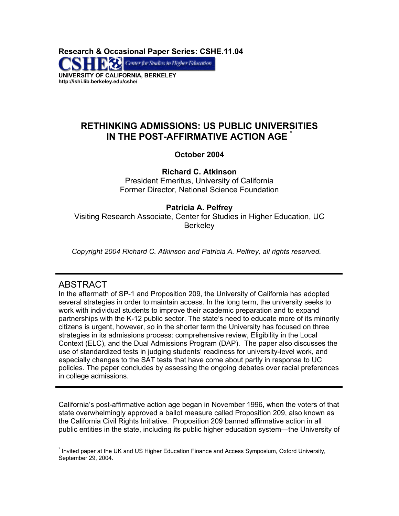**Research & Occasional Paper Series: CSHE.11.04**  Center for Studies in Higher Education **UNIVERSITY OF CALIFORNIA, BERKELEY http://ishi.lib.berkeley.edu/cshe/** 

# **RETHINKING ADMISSIONS: US PUBLIC UNIVERSITIES IN THE POST-AFFIRMATIVE ACTION AGE**

## **October 2004**

**Richard C. Atkinson**  President Emeritus, University of California Former Director, National Science Foundation

## **Patricia A. Pelfrey** Visiting Research Associate, Center for Studies in Higher Education, UC **Berkeley**

*Copyright 2004 Richard C. Atkinson and Patricia A. Pelfrey, all rights reserved.* 

# ABSTRACT

In the aftermath of SP-1 and Proposition 209, the University of California has adopted several strategies in order to maintain access. In the long term, the university seeks to work with individual students to improve their academic preparation and to expand partnerships with the K-12 public sector. The state's need to educate more of its minority citizens is urgent, however, so in the shorter term the University has focused on three strategies in its admissions process: comprehensive review, Eligibility in the Local Context (ELC), and the Dual Admissions Program (DAP). The paper also discusses the use of standardized tests in judging students' readiness for university-level work, and especially changes to the SAT tests that have come about partly in response to UC policies. The paper concludes by assessing the ongoing debates over racial preferences in college admissions.

California's post-affirmative action age began in November 1996, when the voters of that state overwhelmingly approved a ballot measure called Proposition 209, also known as the California Civil Rights Initiative. Proposition 209 banned affirmative action in all public entities in the state, including its public higher education system—the University of

<span id="page-0-0"></span>l \* Invited paper at the UK and US Higher Education Finance and Access Symposium, Oxford University, September 29, 2004.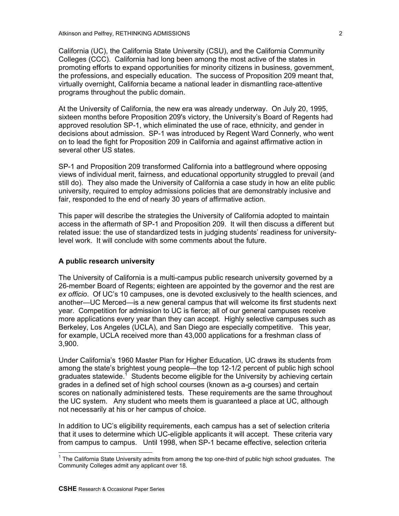California (UC), the California State University (CSU), and the California Community Colleges (CCC). California had long been among the most active of the states in promoting efforts to expand opportunities for minority citizens in business, government, the professions, and especially education. The success of Proposition 209 meant that, virtually overnight, California became a national leader in dismantling race-attentive programs throughout the public domain.

At the University of California, the new era was already underway. On July 20, 1995, sixteen months before Proposition 209's victory, the University's Board of Regents had approved resolution SP-1, which eliminated the use of race, ethnicity, and gender in decisions about admission. SP-1 was introduced by Regent Ward Connerly, who went on to lead the fight for Proposition 209 in California and against affirmative action in several other US states.

SP-1 and Proposition 209 transformed California into a battleground where opposing views of individual merit, fairness, and educational opportunity struggled to prevail (and still do). They also made the University of California a case study in how an elite public university, required to employ admissions policies that are demonstrably inclusive and fair, responded to the end of nearly 30 years of affirmative action.

This paper will describe the strategies the University of California adopted to maintain access in the aftermath of SP-1 and Proposition 209. It will then discuss a different but related issue: the use of standardized tests in judging students' readiness for universitylevel work. It will conclude with some comments about the future.

#### **A public research university**

The University of California is a multi-campus public research university governed by a 26-member Board of Regents; eighteen are appointed by the governor and the rest are *ex officio*. Of UC's 10 campuses, one is devoted exclusively to the health sciences, and another—UC Merced—is a new general campus that will welcome its first students next year. Competition for admission to UC is fierce; all of our general campuses receive more applications every year than they can accept. Highly selective campuses such as Berkeley, Los Angeles (UCLA), and San Diego are especially competitive.This year, for example, UCLA received more than 43,000 applications for a freshman class of 3,900.

Under California's 1960 Master Plan for Higher Education, UC draws its students from among the state's brightest young people—the top 12-1/2 percent of public high school graduates statewide.<sup>[1](#page-1-0)</sup> Students become eligible for the University by achieving certain grades in a defined set of high school courses (known as a-g courses) and certain scores on nationally administered tests. These requirements are the same throughout the UC system. Any student who meets them is guaranteed a place at UC, although not necessarily at his or her campus of choice.

In addition to UC's eligibility requirements, each campus has a set of selection criteria that it uses to determine which UC-eligible applicants it will accept. These criteria vary from campus to campus. Until 1998, when SP-1 became effective, selection criteria

<span id="page-1-0"></span> 1 The California State University admits from among the top one-third of public high school graduates. The Community Colleges admit any applicant over 18.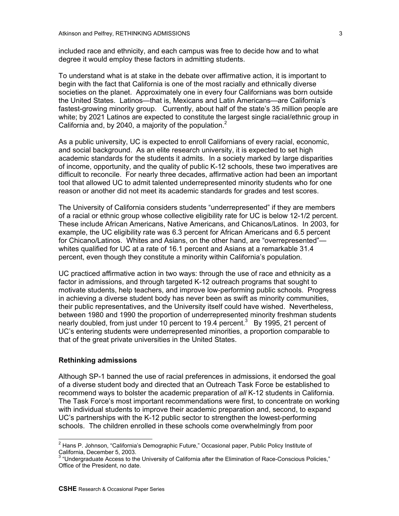included race and ethnicity, and each campus was free to decide how and to what degree it would employ these factors in admitting students.

To understand what is at stake in the debate over affirmative action, it is important to begin with the fact that California is one of the most racially and ethnically diverse societies on the planet. Approximately one in every four Californians was born outside the United States. Latinos—that is, Mexicans and Latin Americans—are California's fastest-growing minority group. Currently, about half of the state's 35 million people are white; by 2021 Latinos are expected to constitute the largest single racial/ethnic group in California and, by [2](#page-2-0)040, a majority of the population. $2$ 

As a public university, UC is expected to enroll Californians of every racial, economic, and social background. As an elite research university, it is expected to set high academic standards for the students it admits. In a society marked by large disparities of income, opportunity, and the quality of public K-12 schools, these two imperatives are difficult to reconcile. For nearly three decades, affirmative action had been an important tool that allowed UC to admit talented underrepresented minority students who for one reason or another did not meet its academic standards for grades and test scores.

The University of California considers students "underrepresented" if they are members of a racial or ethnic group whose collective eligibility rate for UC is below 12-1/2 percent. These include African Americans, Native Americans, and Chicanos/Latinos. In 2003, for example, the UC eligibility rate was 6.3 percent for African Americans and 6.5 percent for Chicano/Latinos. Whites and Asians, on the other hand, are "overrepresented" whites qualified for UC at a rate of 16.1 percent and Asians at a remarkable 31.4 percent, even though they constitute a minority within California's population.

UC practiced affirmative action in two ways: through the use of race and ethnicity as a factor in admissions, and through targeted K-12 outreach programs that sought to motivate students, help teachers, and improve low-performing public schools. Progress in achieving a diverse student body has never been as swift as minority communities, their public representatives, and the University itself could have wished. Nevertheless, between 1980 and 1990 the proportion of underrepresented minority freshman students nearly doubled, from just under 10 percent to 19.4 percent.<sup>[3](#page-2-1)</sup> By 1995, 21 percent of UC's entering students were underrepresented minorities, a proportion comparable to that of the great private universities in the United States.

## **Rethinking admissions**

Although SP-1 banned the use of racial preferences in admissions, it endorsed the goal of a diverse student body and directed that an Outreach Task Force be established to recommend ways to bolster the academic preparation of *all* K-12 students in California. The Task Force's most important recommendations were first, to concentrate on working with individual students to improve their academic preparation and, second, to expand UC's partnerships with the K-12 public sector to strengthen the lowest-performing schools. The children enrolled in these schools come overwhelmingly from poor

<span id="page-2-0"></span> 2 Hans P. Johnson, "California's Demographic Future," Occasional paper, Public Policy Institute of California, December 5, 2003.

<span id="page-2-1"></span> $3$  "Undergraduate Access to the University of California after the Elimination of Race-Conscious Policies," Office of the President, no date.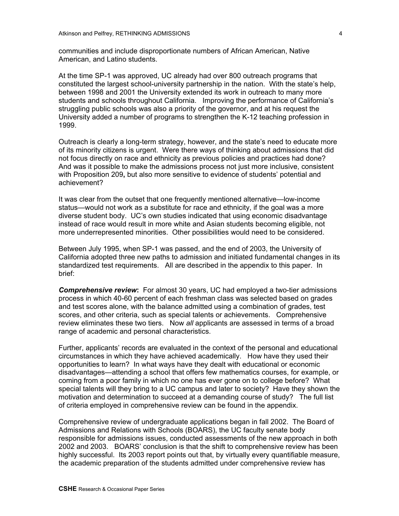communities and include disproportionate numbers of African American, Native American, and Latino students.

At the time SP-1 was approved, UC already had over 800 outreach programs that constituted the largest school-university partnership in the nation. With the state's help, between 1998 and 2001 the University extended its work in outreach to many more students and schools throughout California. Improving the performance of California's struggling public schools was also a priority of the governor, and at his request the University added a number of programs to strengthen the K-12 teaching profession in 1999.

Outreach is clearly a long-term strategy, however, and the state's need to educate more of its minority citizens is urgent. Were there ways of thinking about admissions that did not focus directly on race and ethnicity as previous policies and practices had done? And was it possible to make the admissions process not just more inclusive, consistent with Proposition 209**,** but also more sensitive to evidence of students' potential and achievement?

It was clear from the outset that one frequently mentioned alternative—low-income status—would not work as a substitute for race and ethnicity, if the goal was a more diverse student body. UC's own studies indicated that using economic disadvantage instead of race would result in more white and Asian students becoming eligible, not more underrepresented minorities. Other possibilities would need to be considered.

Between July 1995, when SP-1 was passed, and the end of 2003, the University of California adopted three new paths to admission and initiated fundamental changes in its standardized test requirements. All are described in the appendix to this paper.In brief:

*Comprehensive review***:** For almost 30 years, UC had employed a two-tier admissions process in which 40-60 percent of each freshman class was selected based on grades and test scores alone, with the balance admitted using a combination of grades, test scores, and other criteria, such as special talents or achievements. Comprehensive review eliminates these two tiers. Now *all* applicants are assessed in terms of a broad range of academic and personal characteristics.

Further, applicants' records are evaluated in the context of the personal and educational circumstances in which they have achieved academically. How have they used their opportunities to learn? In what ways have they dealt with educational or economic disadvantages—attending a school that offers few mathematics courses, for example, or coming from a poor family in which no one has ever gone on to college before? What special talents will they bring to a UC campus and later to society? Have they shown the motivation and determination to succeed at a demanding course of study? The full list of criteria employed in comprehensive review can be found in the appendix.

Comprehensive review of undergraduate applications began in fall 2002. The Board of Admissions and Relations with Schools (BOARS), the UC faculty senate body responsible for admissions issues, conducted assessments of the new approach in both 2002 and 2003. BOARS' conclusion is that the shift to comprehensive review has been highly successful. Its 2003 report points out that, by virtually every quantifiable measure, the academic preparation of the students admitted under comprehensive review has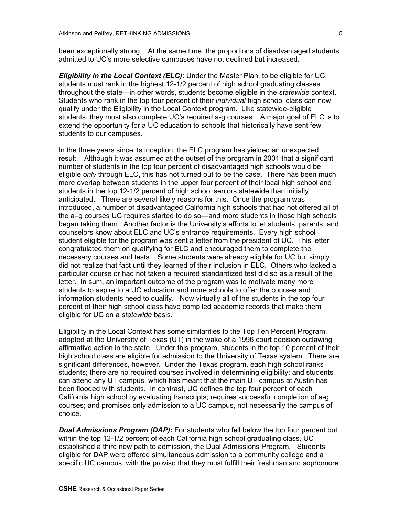been exceptionally strong. At the same time, the proportions of disadvantaged students admitted to UC's more selective campuses have not declined but increased.

*Eligibility in the Local Context (ELC):* Under the Master Plan, to be eligible for UC, students must rank in the highest 12-1/2 percent of high school graduating classes throughout the state—in other words, students become eligible in the *statewide* context. Students who rank in the top four percent of their *individual* high school class can now qualify under the Eligibility in the Local Context program. Like statewide-eligible students, they must also complete UC's required a-g courses.A major goal of ELC is to extend the opportunity for a UC education to schools that historically have sent few students to our campuses.

In the three years since its inception, the ELC program has yielded an unexpected result. Although it was assumed at the outset of the program in 2001 that a significant number of students in the top four percent of disadvantaged high schools would be eligible *only* through ELC, this has not turned out to be the case. There has been much more overlap between students in the upper four percent of their local high school and students in the top 12-1/2 percent of high school seniors statewide than initially anticipated. There are several likely reasons for this. Once the program was introduced, a number of disadvantaged California high schools that had not offered all of the a–g courses UC requires started to do so—and more students in those high schools began taking them. Another factor is the University's efforts to let students, parents, and counselors know about ELC and UC's entrance requirements. Every high school student eligible for the program was sent a letter from the president of UC. This letter congratulated them on qualifying for ELC and encouraged them to complete the necessary courses and tests. Some students were already eligible for UC but simply did not realize that fact until they learned of their inclusion in ELC. Others who lacked a particular course or had not taken a required standardized test did so as a result of the letter. In sum, an important outcome of the program was to motivate many more students to aspire to a UC education and more schools to offer the courses and information students need to qualify. Now virtually all of the students in the top four percent of their high school class have compiled academic records that make them eligible for UC on a *statewide* basis.

Eligibility in the Local Context has some similarities to the Top Ten Percent Program, adopted at the University of Texas (UT) in the wake of a 1996 court decision outlawing affirmative action in the state.Under this program, students in the top 10 percent of their high school class are eligible for admission to the University of Texas system. There are significant differences, however. Under the Texas program, each high school ranks students; there are no required courses involved in determining eligibility; and students can attend any UT campus, which has meant that the main UT campus at Austin has been flooded with students. In contrast, UC defines the top four percent of each California high school by evaluating transcripts; requires successful completion of a-g courses; and promises only admission to a UC campus, not necessarily the campus of choice.

*Dual Admissions Program (DAP):* For students who fell below the top four percent but within the top 12-1/2 percent of each California high school graduating class, UC established a third new path to admission, the Dual Admissions Program*.* Students eligible for DAP were offered simultaneous admission to a community college and a specific UC campus, with the proviso that they must fulfill their freshman and sophomore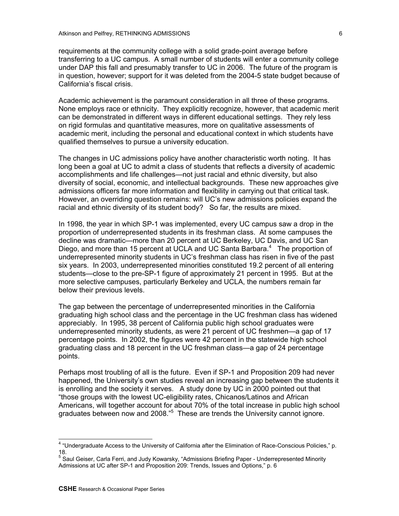requirements at the community college with a solid grade-point average before transferring to a UC campus. A small number of students will enter a community college under DAP this fall and presumably transfer to UC in 2006.The future of the program is in question, however; support for it was deleted from the 2004-5 state budget because of California's fiscal crisis.

Academic achievement is the paramount consideration in all three of these programs. None employs race or ethnicity. They explicitly recognize, however, that academic merit can be demonstrated in different ways in different educational settings. They rely less on rigid formulas and quantitative measures, more on qualitative assessments of academic merit, including the personal and educational context in which students have qualified themselves to pursue a university education.

The changes in UC admissions policy have another characteristic worth noting. It has long been a goal at UC to admit a class of students that reflects a diversity of academic accomplishments and life challenges—not just racial and ethnic diversity, but also diversity of social, economic, and intellectual backgrounds. These new approaches give admissions officers far more information and flexibility in carrying out that critical task. However, an overriding question remains: will UC's new admissions policies expand the racial and ethnic diversity of its student body? So far, the results are mixed.

In 1998, the year in which SP-1 was implemented, every UC campus saw a drop in the proportion of underrepresented students in its freshman class. At some campuses the decline was dramatic—more than 20 percent at UC Berkeley, UC Davis, and UC San Diego, and more than 15 percent at UCLA and UC Santa Barbara.<sup>[4](#page-5-0)</sup> The proportion of underrepresented minority students in UC's freshman class has risen in five of the past six years. In 2003, underrepresented minorities constituted 19.2 percent of all entering students—close to the pre-SP-1 figure of approximately 21 percent in 1995. But at the more selective campuses, particularly Berkeley and UCLA, the numbers remain far below their previous levels.

The gap between the percentage of underrepresented minorities in the California graduating high school class and the percentage in the UC freshman class has widened appreciably. In 1995, 38 percent of California public high school graduates were underrepresented minority students, as were 21 percent of UC freshmen—a gap of 17 percentage points. In 2002, the figures were 42 percent in the statewide high school graduating class and 18 percent in the UC freshman class—a gap of 24 percentage points.

Perhaps most troubling of all is the future. Even if SP-1 and Proposition 209 had never happened, the University's own studies reveal an increasing gap between the students it is enrolling and the society it serves. A study done by UC in 2000 pointed out that "those groups with the lowest UC-eligibility rates, Chicanos/Latinos and African Americans, will together account for about 70% of the total increase in public high school graduates between now and 2008."<sup>[5](#page-5-1)</sup> These are trends the University cannot ignore.

<span id="page-5-0"></span> 4 "Undergraduate Access to the University of California after the Elimination of Race-Conscious Policies," p. 18.

<span id="page-5-1"></span><sup>&</sup>lt;sup>5</sup> Saul Geiser, Carla Ferri, and Judy Kowarsky, "Admissions Briefing Paper - Underrepresented Minority Admissions at UC after SP-1 and Proposition 209: Trends, Issues and Options," p. 6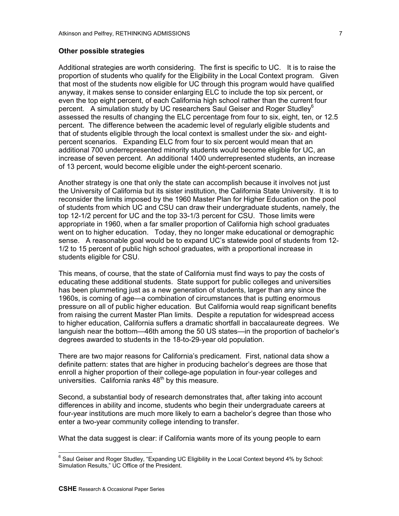#### **Other possible strategies**

Additional strategies are worth considering. The first is specific to UC. It is to raise the proportion of students who qualify for the Eligibility in the Local Context program. Given that most of the students now eligible for UC through this program would have qualified anyway, it makes sense to consider enlarging ELC to include the top six percent, or even the top eight percent, of each California high school rather than the current four percent. A simulation study by UC researchers Saul Geiser and Roger Studley<sup>[6](#page-6-0)</sup> assessed the results of changing the ELC percentage from four to six, eight, ten, or 12.5 percent. The difference between the academic level of regularly eligible students and that of students eligible through the local context is smallest under the six- and eightpercent scenarios. Expanding ELC from four to six percent would mean that an additional 700 underrepresented minority students would become eligible for UC, an increase of seven percent. An additional 1400 underrepresented students, an increase of 13 percent, would become eligible under the eight-percent scenario.

Another strategy is one that only the state can accomplish because it involves not just the University of California but its sister institution, the California State University. It is to reconsider the limits imposed by the 1960 Master Plan for Higher Education on the pool of students from which UC and CSU can draw their undergraduate students, namely, the top 12-1/2 percent for UC and the top 33-1/3 percent for CSU. Those limits were appropriate in 1960, when a far smaller proportion of California high school graduates went on to higher education. Today, they no longer make educational or demographic sense. A reasonable goal would be to expand UC's statewide pool of students from 12- 1/2 to 15 percent of public high school graduates, with a proportional increase in students eligible for CSU.

This means, of course, that the state of California must find ways to pay the costs of educating these additional students. State support for public colleges and universities has been plummeting just as a new generation of students, larger than any since the 1960s, is coming of age—a combination of circumstances that is putting enormous pressure on all of public higher education. But California would reap significant benefits from raising the current Master Plan limits. Despite a reputation for widespread access to higher education, California suffers a dramatic shortfall in baccalaureate degrees. We languish near the bottom—46th among the 50 US states—in the proportion of bachelor's degrees awarded to students in the 18-to-29-year old population.

There are two major reasons for California's predicament. First, national data show a definite pattern: states that are higher in producing bachelor's degrees are those that enroll a higher proportion of their college-age population in four-year colleges and universities. California ranks  $48<sup>th</sup>$  by this measure.

Second, a substantial body of research demonstrates that, after taking into account differences in ability and income, students who begin their undergraduate careers at four-year institutions are much more likely to earn a bachelor's degree than those who enter a two-year community college intending to transfer.

What the data suggest is clear: if California wants more of its young people to earn

<span id="page-6-0"></span>e<br><sup>6</sup> Saul Geiser and Roger Studley, "Expanding UC Eligibility in the Local Context beyond 4% by School: Simulation Results," UC Office of the President.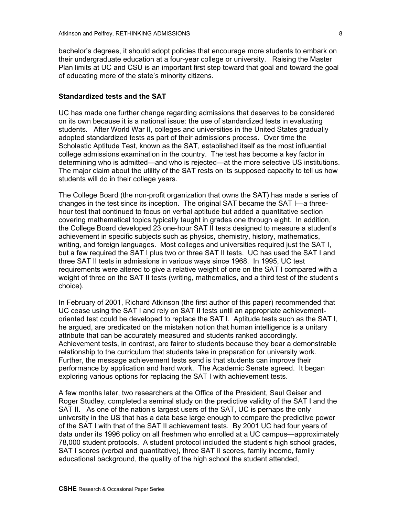bachelor's degrees, it should adopt policies that encourage more students to embark on their undergraduate education at a four-year college or university. Raising the Master Plan limits at UC and CSU is an important first step toward that goal and toward the goal of educating more of the state's minority citizens.

## **Standardized tests and the SAT**

UC has made one further change regarding admissions that deserves to be considered on its own because it is a national issue: the use of standardized tests in evaluating students. After World War II, colleges and universities in the United States gradually adopted standardized tests as part of their admissions process. Over time the Scholastic Aptitude Test, known as the SAT, established itself as the most influential college admissions examination in the country. The test has become a key factor in determining who is admitted—and who is rejected—at the more selective US institutions. The major claim about the utility of the SAT rests on its supposed capacity to tell us how students will do in their college years.

The College Board (the non-profit organization that owns the SAT) has made a series of changes in the test since its inception. The original SAT became the SAT I—a threehour test that continued to focus on verbal aptitude but added a quantitative section covering mathematical topics typically taught in grades one through eight. In addition, the College Board developed 23 one-hour SAT II tests designed to measure a student's achievement in specific subjects such as physics, chemistry, history, mathematics, writing, and foreign languages. Most colleges and universities required just the SAT I, but a few required the SAT I plus two or three SAT II tests. UC has used the SAT I and three SAT II tests in admissions in various ways since 1968. In 1995, UC test requirements were altered to give a relative weight of one on the SAT I compared with a weight of three on the SAT II tests (writing, mathematics, and a third test of the student's choice).

In February of 2001, Richard Atkinson (the first author of this paper) recommended that UC cease using the SAT I and rely on SAT II tests until an appropriate achievementoriented test could be developed to replace the SAT I. Aptitude tests such as the SAT I, he argued, are predicated on the mistaken notion that human intelligence is a unitary attribute that can be accurately measured and students ranked accordingly. Achievement tests, in contrast, are fairer to students because they bear a demonstrable relationship to the curriculum that students take in preparation for university work. Further, the message achievement tests send is that students can improve their performance by application and hard work. The Academic Senate agreed. It began exploring various options for replacing the SAT I with achievement tests.

A few months later, two researchers at the Office of the President, Saul Geiser and Roger Studley, completed a seminal study on the predictive validity of the SAT I and the SAT II. As one of the nation's largest users of the SAT, UC is perhaps the only university in the US that has a data base large enough to compare the predictive power of the SAT I with that of the SAT II achievement tests. By 2001 UC had four years of data under its 1996 policy on all freshmen who enrolled at a UC campus—approximately 78,000 student protocols. A student protocol included the student's high school grades, SAT I scores (verbal and quantitative), three SAT II scores, family income, family educational background, the quality of the high school the student attended,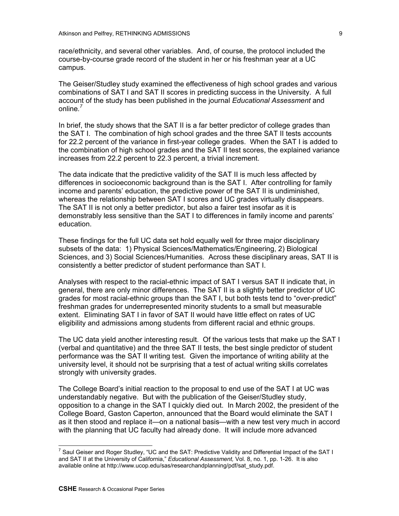race/ethnicity, and several other variables. And, of course, the protocol included the course-by-course grade record of the student in her or his freshman year at a UC campus.

The Geiser/Studley study examined the effectiveness of high school grades and various combinations of SAT I and SAT II scores in predicting success in the University. A full account of the study has been published in the journal *Educational Assessment* and online*. [7](#page-8-0)* 

In brief, the study shows that the SAT II is a far better predictor of college grades than the SAT I. The combination of high school grades and the three SAT II tests accounts for 22.2 percent of the variance in first-year college grades. When the SAT I is added to the combination of high school grades and the SAT II test scores, the explained variance increases from 22.2 percent to 22.3 percent, a trivial increment.

The data indicate that the predictive validity of the SAT II is much less affected by differences in socioeconomic background than is the SAT I. After controlling for family income and parents' education, the predictive power of the SAT II is undiminished, whereas the relationship between SAT I scores and UC grades virtually disappears. The SAT II is not only a better predictor, but also a fairer test insofar as it is demonstrably less sensitive than the SAT I to differences in family income and parents' education.

These findings for the full UC data set hold equally well for three major disciplinary subsets of the data: 1) Physical Sciences/Mathematics/Engineering, 2) Biological Sciences, and 3) Social Sciences/Humanities. Across these disciplinary areas, SAT II is consistently a better predictor of student performance than SAT I.

Analyses with respect to the racial-ethnic impact of SAT I versus SAT II indicate that, in general, there are only minor differences. The SAT II is a slightly better predictor of UC grades for most racial-ethnic groups than the SAT I, but both tests tend to "over-predict" freshman grades for underrepresented minority students to a small but measurable extent. Eliminating SAT I in favor of SAT II would have little effect on rates of UC eligibility and admissions among students from different racial and ethnic groups.

The UC data yield another interesting result. Of the various tests that make up the SAT I (verbal and quantitative) and the three SAT II tests, the best single predictor of student performance was the SAT II writing test. Given the importance of writing ability at the university level, it should not be surprising that a test of actual writing skills correlates strongly with university grades.

The College Board's initial reaction to the proposal to end use of the SAT I at UC was understandably negative. But with the publication of the Geiser/Studley study, opposition to a change in the SAT I quickly died out. In March 2002, the president of the College Board, Gaston Caperton, announced that the Board would eliminate the SAT I as it then stood and replace it—on a national basis—with a new test very much in accord with the planning that UC faculty had already done. It will include more advanced

<span id="page-8-0"></span> 7 Saul Geiser and Roger Studley, "UC and the SAT: Predictive Validity and Differential Impact of the SAT I and SAT II at the University of California," *Educational Assessment,* Vol. 8, no. 1, pp. 1-26. It is also available online at http://www.ucop.edu/sas/researchandplanning/pdf/sat\_study.pdf.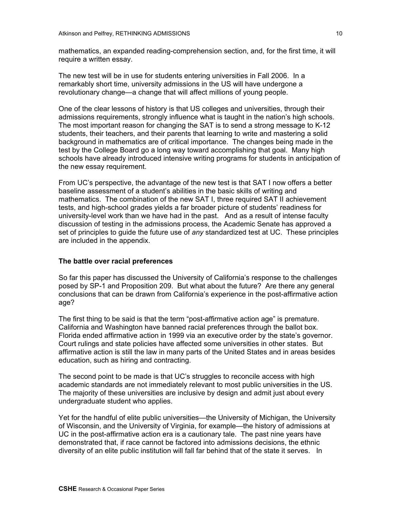mathematics, an expanded reading-comprehension section, and, for the first time, it will require a written essay.

The new test will be in use for students entering universities in Fall 2006. In a remarkably short time, university admissions in the US will have undergone a revolutionary change—a change that will affect millions of young people.

One of the clear lessons of history is that US colleges and universities, through their admissions requirements, strongly influence what is taught in the nation's high schools. The most important reason for changing the SAT is to send a strong message to K-12 students, their teachers, and their parents that learning to write and mastering a solid background in mathematics are of critical importance. The changes being made in the test by the College Board go a long way toward accomplishing that goal. Many high schools have already introduced intensive writing programs for students in anticipation of the new essay requirement.

From UC's perspective, the advantage of the new test is that SAT I now offers a better baseline assessment of a student's abilities in the basic skills of writing and mathematics. The combination of the new SAT I, three required SAT II achievement tests, and high-school grades yields a far broader picture of students' readiness for university-level work than we have had in the past. And as a result of intense faculty discussion of testing in the admissions process, the Academic Senate has approved a set of principles to guide the future use of *any* standardized test at UC. These principles are included in the appendix.

## **The battle over racial preferences**

So far this paper has discussed the University of California's response to the challenges posed by SP-1 and Proposition 209. But what about the future? Are there any general conclusions that can be drawn from California's experience in the post-affirmative action age?

The first thing to be said is that the term "post-affirmative action age" is premature. California and Washington have banned racial preferences through the ballot box. Florida ended affirmative action in 1999 via an executive order by the state's governor. Court rulings and state policies have affected some universities in other states. But affirmative action is still the law in many parts of the United States and in areas besides education, such as hiring and contracting.

The second point to be made is that UC's struggles to reconcile access with high academic standards are not immediately relevant to most public universities in the US. The majority of these universities are inclusive by design and admit just about every undergraduate student who applies.

Yet for the handful of elite public universities—the University of Michigan, the University of Wisconsin, and the University of Virginia, for example—the history of admissions at UC in the post-affirmative action era is a cautionary tale. The past nine years have demonstrated that, if race cannot be factored into admissions decisions, the ethnic diversity of an elite public institution will fall far behind that of the state it serves. In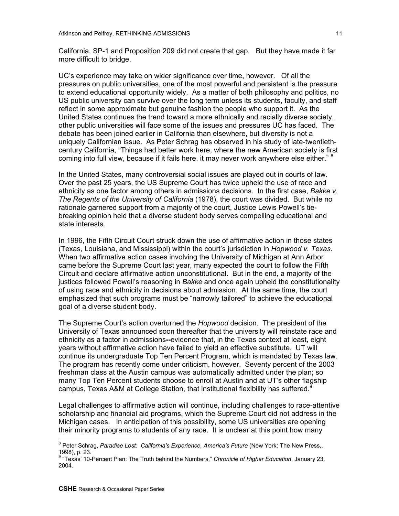California, SP-1 and Proposition 209 did not create that gap. But they have made it far more difficult to bridge.

UC's experience may take on wider significance over time, however.Of all the pressures on public universities, one of the most powerful and persistent is the pressure to extend educational opportunity widely. As a matter of both philosophy and politics, no US public university can survive over the long term unless its students, faculty, and staff reflect in some approximate but genuine fashion the people who support it. As the United States continues the trend toward a more ethnically and racially diverse society, other public universities will face some of the issues and pressures UC has faced. The debate has been joined earlier in California than elsewhere, but diversity is not a uniquely Californian issue. As Peter Schrag has observed in his study of late-twentiethcentury California, "Things had better work here, where the new American society is first coming into full view, because if it fails here, it may never work anywhere else either."  $8$ 

In the United States, many controversial social issues are played out in courts of law. Over the past 25 years, the US Supreme Court has twice upheld the use of race and ethnicity as one factor among others in admissions decisions. In the first case, *Bakke v. The Regents of the University of California* (1978), the court was divided. But while no rationale garnered support from a majority of the court, Justice Lewis Powell's tiebreaking opinion held that a diverse student body serves compelling educational and state interests.

In 1996, the Fifth Circuit Court struck down the use of affirmative action in those states (Texas, Louisiana, and Mississippi) within the court's jurisdiction in *Hopwood v. Texas*. When two affirmative action cases involving the University of Michigan at Ann Arbor came before the Supreme Court last year, many expected the court to follow the Fifth Circuit and declare affirmative action unconstitutional. But in the end, a majority of the justices followed Powell's reasoning in *Bakke* and once again upheld the constitutionality of using race and ethnicity in decisions about admission*.* At the same time, the court emphasized that such programs must be "narrowly tailored" to achieve the educational goal of a diverse student body.

The Supreme Court's action overturned the *Hopwood* decision. The president of the University of Texas announced soon thereafter that the university will reinstate race and ethnicity as a factor in admissions**--**evidence that, in the Texas context at least, eight years without affirmative action have failed to yield an effective substitute. UT will continue its undergraduate Top Ten Percent Program, which is mandated by Texas law. The program has recently come under criticism, however. Seventy percent of the 2003 freshman class at the Austin campus was automatically admitted under the plan; so many Top Ten Percent students choose to enroll at Austin and at UT's other flagship campus, Texas A&M at College Station, that institutional flexibility has suffered.<sup>[9](#page-10-1)</sup>

Legal challenges to affirmative action will continue, including challenges to race-attentive scholarship and financial aid programs, which the Supreme Court did not address in the Michigan cases. In anticipation of this possibility, some US universities are opening their minority programs to students of any race. It is unclear at this point how many

<span id="page-10-0"></span> 8 Peter Schrag, *Paradise Lost: California's Experience, America's Future* (New York: The New Press,, 1998), p. 23.

<span id="page-10-1"></span><sup>9</sup> "Texas' 10-Percent Plan: The Truth behind the Numbers," *Chronicle of Higher Education*, January 23, 2004.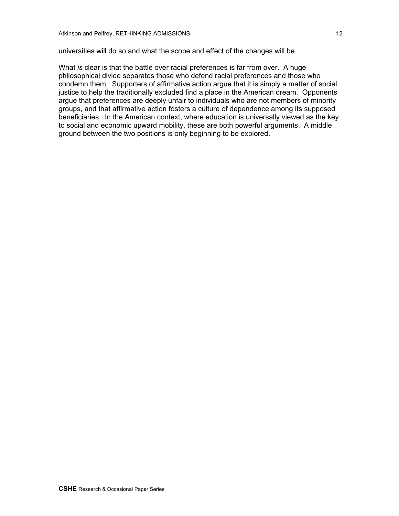universities will do so and what the scope and effect of the changes will be.

What *is* clear is that the battle over racial preferences is far from over.A huge philosophical divide separates those who defend racial preferences and those who condemn them. Supporters of affirmative action argue that it is simply a matter of social justice to help the traditionally excluded find a place in the American dream. Opponents argue that preferences are deeply unfair to individuals who are not members of minority groups, and that affirmative action fosters a culture of dependence among its supposed beneficiaries. In the American context, where education is universally viewed as the key to social and economic upward mobility, these are both powerful arguments. A middle ground between the two positions is only beginning to be explored.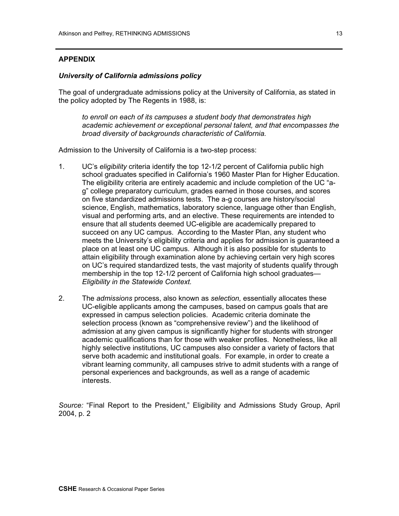### **APPENDIX**

## *University of California admissions policy*

The goal of undergraduate admissions policy at the University of California, as stated in the policy adopted by The Regents in 1988, is:

*to enroll on each of its campuses a student body that demonstrates high academic achievement or exceptional personal talent, and that encompasses the broad diversity of backgrounds characteristic of California.*

Admission to the University of California is a two-step process:

- 1. UC's *eligibility* criteria identify the top 12-1/2 percent of California public high school graduates specified in California's 1960 Master Plan for Higher Education. The eligibility criteria are entirely academic and include completion of the UC "ag" college preparatory curriculum, grades earned in those courses, and scores on five standardized admissions tests. The a-g courses are history/social science, English, mathematics, laboratory science, language other than English, visual and performing arts, and an elective. These requirements are intended to ensure that all students deemed UC-eligible are academically prepared to succeed on any UC campus. According to the Master Plan, any student who meets the University's eligibility criteria and applies for admission is guaranteed a place on at least one UC campus. Although it is also possible for students to attain eligibility through examination alone by achieving certain very high scores on UC's required standardized tests, the vast majority of students qualify through membership in the top 12-1/2 percent of California high school graduates— *Eligibility in the Statewide Context.*
- 2. The *admissions* process, also known as *selection,* essentially allocates these UC-eligible applicants among the campuses, based on campus goals that are expressed in campus selection policies. Academic criteria dominate the selection process (known as "comprehensive review") and the likelihood of admission at any given campus is significantly higher for students with stronger academic qualifications than for those with weaker profiles. Nonetheless, like all highly selective institutions, UC campuses also consider a variety of factors that serve both academic and institutional goals. For example, in order to create a vibrant learning community, all campuses strive to admit students with a range of personal experiences and backgrounds, as well as a range of academic interests.

*Source:* "Final Report to the President," Eligibility and Admissions Study Group, April 2004, p. 2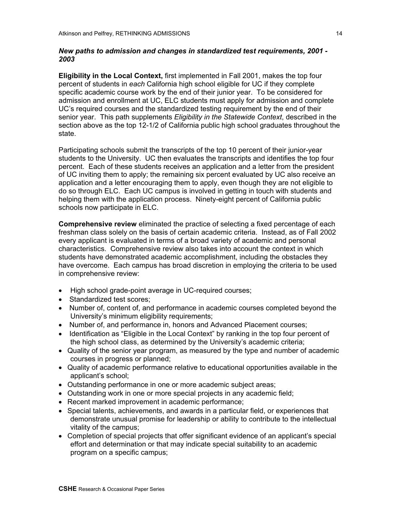## *New paths to admission and changes in standardized test requirements, 2001 - 2003*

**Eligibility in the Local Context,** first implemented in Fall 2001, makes the top four percent of students in *each* California high school eligible for UC if they complete specific academic course work by the end of their junior year. To be considered for admission and enrollment at UC, ELC students must apply for admission and complete UC's required courses and the standardized testing requirement by the end of their senior year. This path supplements *Eligibility in the Statewide Context*, described in the section above as the top 12-1/2 of California public high school graduates throughout the state.

Participating schools submit the transcripts of the top 10 percent of their junior-year students to the University. UC then evaluates the transcripts and identifies the top four percent. Each of these students receives an application and a letter from the president of UC inviting them to apply; the remaining six percent evaluated by UC also receive an application and a letter encouraging them to apply, even though they are not eligible to do so through ELC. Each UC campus is involved in getting in touch with students and helping them with the application process. Ninety-eight percent of California public schools now participate in ELC.

**Comprehensive review** eliminated the practice of selecting a fixed percentage of each freshman class solely on the basis of certain academic criteria. Instead, as of Fall 2002 every applicant is evaluated in terms of a broad variety of academic and personal characteristics. Comprehensive review also takes into account the context in which students have demonstrated academic accomplishment, including the obstacles they have overcome. Each campus has broad discretion in employing the criteria to be used in comprehensive review:

- High school grade-point average in UC-required courses;
- Standardized test scores;
- Number of, content of, and performance in academic courses completed beyond the University's minimum eligibility requirements;
- Number of, and performance in, honors and Advanced Placement courses;
- Identification as "Eligible in the Local Context" by ranking in the top four percent of the high school class, as determined by the University's academic criteria;
- Quality of the senior year program, as measured by the type and number of academic courses in progress or planned;
- Quality of academic performance relative to educational opportunities available in the applicant's school;
- Outstanding performance in one or more academic subject areas;
- Outstanding work in one or more special projects in any academic field;
- Recent marked improvement in academic performance;
- Special talents, achievements, and awards in a particular field, or experiences that demonstrate unusual promise for leadership or ability to contribute to the intellectual vitality of the campus;
- Completion of special projects that offer significant evidence of an applicant's special effort and determination or that may indicate special suitability to an academic program on a specific campus;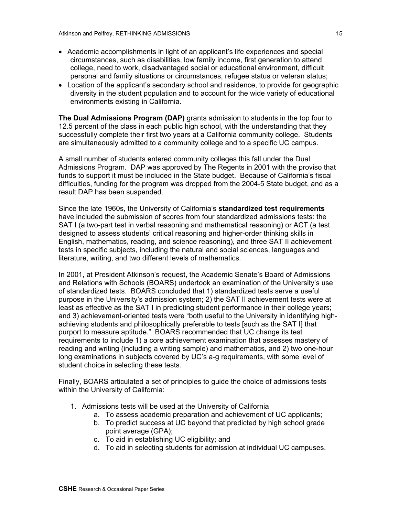- Academic accomplishments in light of an applicant's life experiences and special circumstances, such as disabilities, low family income, first generation to attend college, need to work, disadvantaged social or educational environment, difficult personal and family situations or circumstances, refugee status or veteran status;
- Location of the applicant's secondary school and residence, to provide for geographic diversity in the student population and to account for the wide variety of educational environments existing in California.

**The Dual Admissions Program (DAP)** grants admission to students in the top four to 12.5 percent of the class in each public high school, with the understanding that they successfully complete their first two years at a California community college. Students are simultaneously admitted to a community college and to a specific UC campus.

A small number of students entered community colleges this fall under the Dual Admissions Program. DAP was approved by The Regents in 2001 with the proviso that funds to support it must be included in the State budget. Because of California's fiscal difficulties, funding for the program was dropped from the 2004-5 State budget, and as a result DAP has been suspended.

Since the late 1960s, the University of California's **standardized test requirements**  have included the submission of scores from four standardized admissions tests: the SAT I (a two-part test in verbal reasoning and mathematical reasoning) or ACT (a test designed to assess students' critical reasoning and higher-order thinking skills in English, mathematics, reading, and science reasoning), and three SAT II achievement tests in specific subjects, including the natural and social sciences, languages and literature, writing, and two different levels of mathematics.

In 2001, at President Atkinson's request, the Academic Senate's Board of Admissions and Relations with Schools (BOARS) undertook an examination of the University's use of standardized tests. BOARS concluded that 1) standardized tests serve a useful purpose in the University's admission system; 2) the SAT II achievement tests were at least as effective as the SAT I in predicting student performance in their college years; and 3) achievement-oriented tests were "both useful to the University in identifying highachieving students and philosophically preferable to tests [such as the SAT I] that purport to measure aptitude." BOARS recommended that UC change its test requirements to include 1) a core achievement examination that assesses mastery of reading and writing (including a writing sample) and mathematics, and 2) two one-hour long examinations in subjects covered by UC's a-g requirements, with some level of student choice in selecting these tests.

Finally, BOARS articulated a set of principles to guide the choice of admissions tests within the University of California:

- 1. Admissions tests will be used at the University of California
	- a. To assess academic preparation and achievement of UC applicants;
		- b. To predict success at UC beyond that predicted by high school grade point average (GPA);
		- c. To aid in establishing UC eligibility; and
		- d. To aid in selecting students for admission at individual UC campuses.